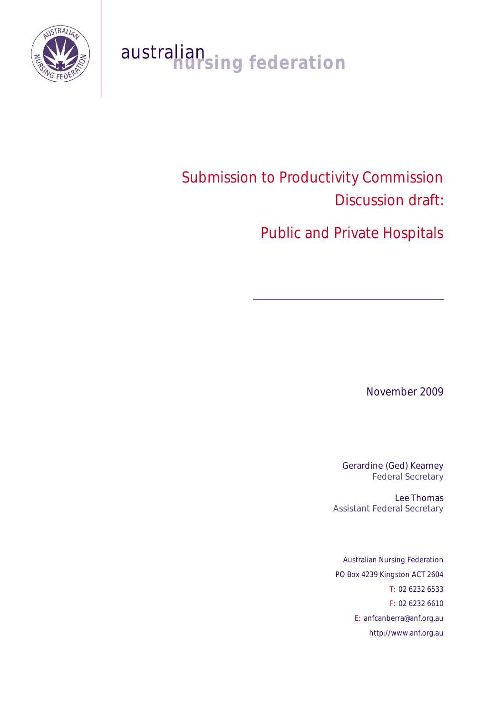

# australian<br>**nursing federation**

# Submission to Productivity Commission Discussion draft:

Public and Private Hospitals

November 2009

Gerardine (Ged) Kearney Federal Secretary

Lee Thomas Assistant Federal Secretary

Australian Nursing Federation PO Box 4239 Kingston ACT 2604 T: 02 6232 6533 F: 02 6232 6610 E: anfcanberra@anf.org.au http://www.anf.org.au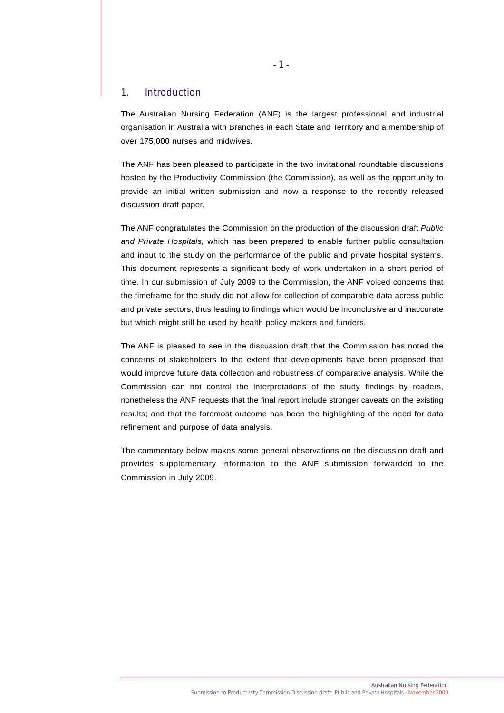#### 1. Introduction

The Australian Nursing Federation (ANF) is the largest professional and industrial organisation in Australia with Branches in each State and Territory and a membership of over 175,000 nurses and midwives.

The ANF has been pleased to participate in the two invitational roundtable discussions hosted by the Productivity Commission (the Commission), as well as the opportunity to provide an initial written submission and now a response to the recently released discussion draft paper.

The ANF congratulates the Commission on the production of the discussion draft *Public and Private Hospitals,* which has been prepared to enable further public consultation and input to the study on the performance of the public and private hospital systems. This document represents a significant body of work undertaken in a short period of time. In our submission of July 2009 to the Commission, the ANF voiced concerns that the timeframe for the study did not allow for collection of comparable data across public and private sectors, thus leading to findings which would be inconclusive and inaccurate but which might still be used by health policy makers and funders.

The ANF is pleased to see in the discussion draft that the Commission has noted the concerns of stakeholders to the extent that developments have been proposed that would improve future data collection and robustness of comparative analysis. While the Commission can not control the interpretations of the study findings by readers, nonetheless the ANF requests that the final report include stronger caveats on the existing results; and that the foremost outcome has been the highlighting of the need for data refinement and purpose of data analysis.

The commentary below makes some general observations on the discussion draft and provides supplementary information to the ANF submission forwarded to the Commission in July 2009.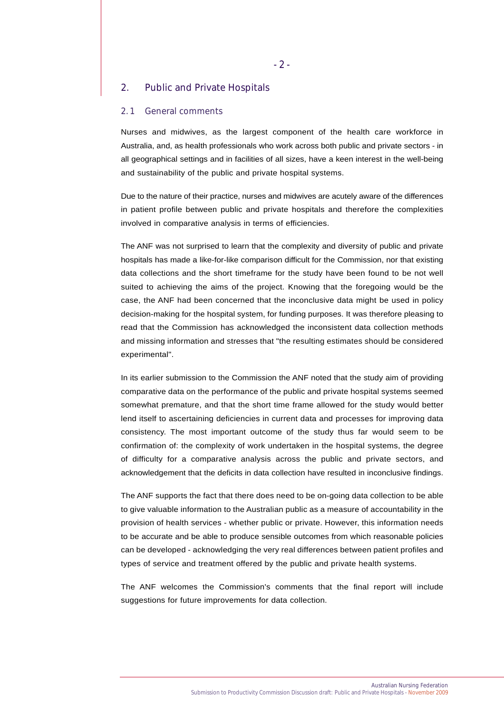# 2. Public and Private Hospitals

#### 2. 1 General comments

Nurses and midwives, as the largest component of the health care workforce in Australia, and, as health professionals who work across both public and private sectors - in all geographical settings and in facilities of all sizes, have a keen interest in the well-being and sustainability of the public and private hospital systems.

Due to the nature of their practice, nurses and midwives are acutely aware of the differences in patient profile between public and private hospitals and therefore the complexities involved in comparative analysis in terms of efficiencies.

The ANF was not surprised to learn that the complexity and diversity of public and private hospitals has made a like-for-like comparison difficult for the Commission, nor that existing data collections and the short timeframe for the study have been found to be not well suited to achieving the aims of the project. Knowing that the foregoing would be the case, the ANF had been concerned that the inconclusive data might be used in policy decision-making for the hospital system, for funding purposes. It was therefore pleasing to read that the Commission has acknowledged the inconsistent data collection methods and missing information and stresses that "the resulting estimates should be considered experimental".

In its earlier submission to the Commission the ANF noted that the study aim of providing comparative data on the performance of the public and private hospital systems seemed somewhat premature, and that the short time frame allowed for the study would better lend itself to ascertaining deficiencies in current data and processes for improving data consistency. The most important outcome of the study thus far would seem to be confirmation of: the complexity of work undertaken in the hospital systems, the degree of difficulty for a comparative analysis across the public and private sectors, and acknowledgement that the deficits in data collection have resulted in inconclusive findings.

The ANF supports the fact that there does need to be on-going data collection to be able to give valuable information to the Australian public as a measure of accountability in the provision of health services - whether public or private. However, this information needs to be accurate and be able to produce sensible outcomes from which reasonable policies can be developed - acknowledging the very real differences between patient profiles and types of service and treatment offered by the public and private health systems.

The ANF welcomes the Commission's comments that the final report will include suggestions for future improvements for data collection.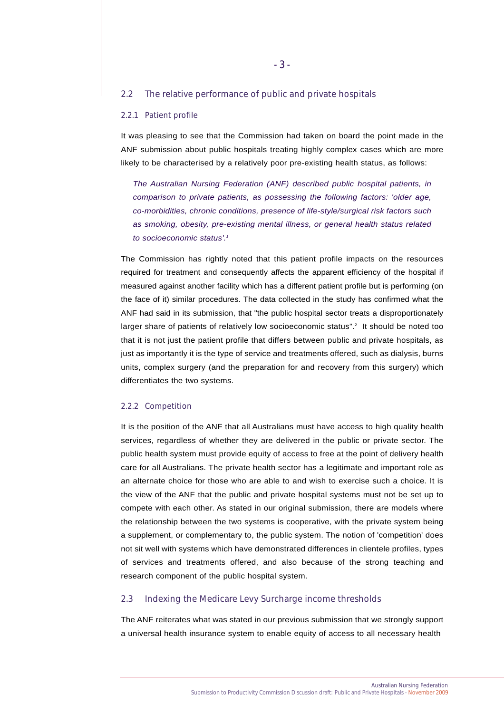#### 2.2 The relative performance of public and private hospitals

#### 2.2.1 Patient profile

It was pleasing to see that the Commission had taken on board the point made in the ANF submission about public hospitals treating highly complex cases which are more likely to be characterised by a relatively poor pre-existing health status, as follows:

*The Australian Nursing Federation (ANF) described public hospital patients, in comparison to private patients, as possessing the following factors: 'older age, co-morbidities, chronic conditions, presence of life-style/surgical risk factors such as smoking, obesity, pre-existing mental illness, or general health status related to socioeconomic status'.1*

The Commission has rightly noted that this patient profile impacts on the resources required for treatment and consequently affects the apparent efficiency of the hospital if measured against another facility which has a different patient profile but is performing (on the face of it) similar procedures. The data collected in the study has confirmed what the ANF had said in its submission, that "the public hospital sector treats a disproportionately larger share of patients of relatively low socioeconomic status".<sup>2</sup> It should be noted too that it is not just the patient profile that differs between public and private hospitals, as just as importantly it is the type of service and treatments offered, such as dialysis, burns units, complex surgery (and the preparation for and recovery from this surgery) which differentiates the two systems.

#### 2.2.2 Competition

It is the position of the ANF that all Australians must have access to high quality health services, regardless of whether they are delivered in the public or private sector. The public health system must provide equity of access to free at the point of delivery health care for all Australians. The private health sector has a legitimate and important role as an alternate choice for those who are able to and wish to exercise such a choice. It is the view of the ANF that the public and private hospital systems must not be set up to compete with each other. As stated in our original submission, there are models where the relationship between the two systems is cooperative, with the private system being a supplement, or complementary to, the public system. The notion of 'competition' does not sit well with systems which have demonstrated differences in clientele profiles, types of services and treatments offered, and also because of the strong teaching and research component of the public hospital system.

## 2.3 Indexing the Medicare Levy Surcharge income thresholds

The ANF reiterates what was stated in our previous submission that we strongly support a universal health insurance system to enable equity of access to all necessary health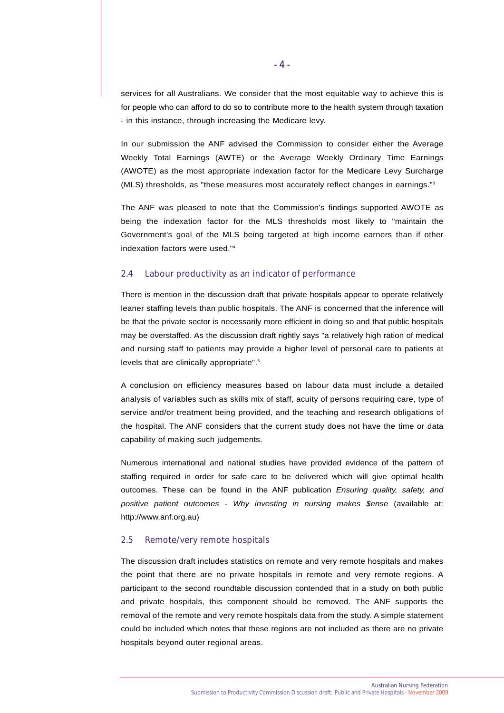services for all Australians. We consider that the most equitable way to achieve this is for people who can afford to do so to contribute more to the health system through taxation - in this instance, through increasing the Medicare levy.

In our submission the ANF advised the Commission to consider either the Average Weekly Total Earnings (AWTE) or the Average Weekly Ordinary Time Earnings (AWOTE) as the most appropriate indexation factor for the Medicare Levy Surcharge (MLS) thresholds, as "these measures most accurately reflect changes in earnings."3

The ANF was pleased to note that the Commission's findings supported AWOTE as being the indexation factor for the MLS thresholds most likely to "maintain the Government's goal of the MLS being targeted at high income earners than if other indexation factors were used."4

# 2.4 Labour productivity as an indicator of performance

There is mention in the discussion draft that private hospitals appear to operate relatively leaner staffing levels than public hospitals. The ANF is concerned that the inference will be that the private sector is necessarily more efficient in doing so and that public hospitals may be overstaffed. As the discussion draft rightly says "a relatively high ration of medical and nursing staff to patients may provide a higher level of personal care to patients at levels that are clinically appropriate".5

A conclusion on efficiency measures based on labour data must include a detailed analysis of variables such as skills mix of staff, acuity of persons requiring care, type of service and/or treatment being provided, and the teaching and research obligations of the hospital. The ANF considers that the current study does not have the time or data capability of making such judgements.

Numerous international and national studies have provided evidence of the pattern of staffing required in order for safe care to be delivered which will give optimal health outcomes. These can be found in the ANF publication *Ensuring quality, safety, and positive patient outcomes - Why investing in nursing makes \$ense* (available at: http://www.anf.org.au)

### 2.5 Remote/very remote hospitals

The discussion draft includes statistics on remote and very remote hospitals and makes the point that there are no private hospitals in remote and very remote regions. A participant to the second roundtable discussion contended that in a study on both public and private hospitals, this component should be removed. The ANF supports the removal of the remote and very remote hospitals data from the study. A simple statement could be included which notes that these regions are not included as there are no private hospitals beyond outer regional areas.